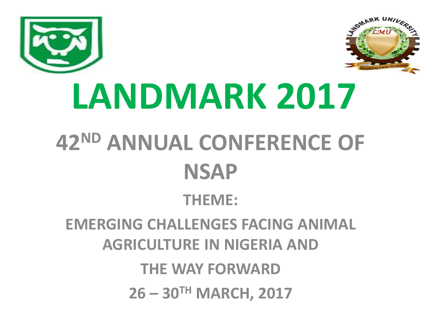



# **LANDMARK 2017 42ND ANNUAL CONFERENCE OF NSAP**

#### **THEME:**

#### **EMERGING CHALLENGES FACING ANIMAL AGRICULTURE IN NIGERIA AND**

**THE WAY FORWARD**

**26 – 30TH MARCH, 2017**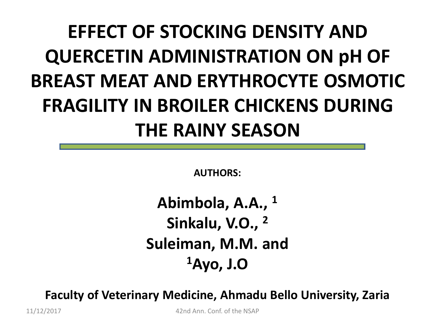#### **EFFECT OF STOCKING DENSITY AND QUERCETIN ADMINISTRATION ON pH OF BREAST MEAT AND ERYTHROCYTE OSMOTIC FRAGILITY IN BROILER CHICKENS DURING THE RAINY SEASON**

**AUTHORS:**

**Abimbola, A.A., <sup>1</sup> Sinkalu, V.O., <sup>2</sup> Suleiman, M.M. and <sup>1</sup>Ayo, J.O**

**Faculty of Veterinary Medicine, Ahmadu Bello University, Zaria**

11/12/2017 42nd Ann. Conf. of the NSAP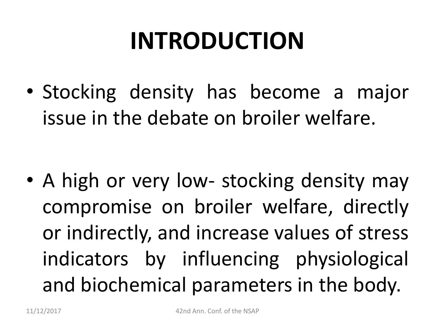# **INTRODUCTION**

• Stocking density has become a major issue in the debate on broiler welfare.

• A high or very low- stocking density may compromise on broiler welfare, directly or indirectly, and increase values of stress indicators by influencing physiological and biochemical parameters in the body.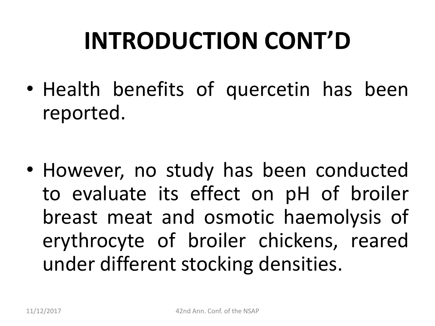# **INTRODUCTION CONT'D**

• Health benefits of quercetin has been reported.

• However, no study has been conducted to evaluate its effect on pH of broiler breast meat and osmotic haemolysis of erythrocyte of broiler chickens, reared under different stocking densities.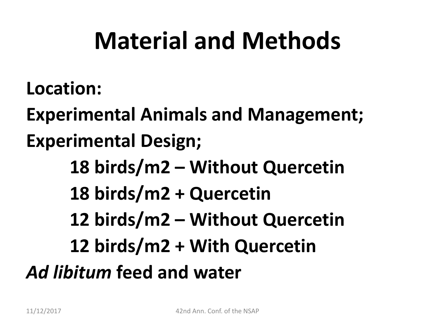#### **Material and Methods**

**Location:**

**Experimental Animals and Management; Experimental Design;**

**18 birds/m2 – Without Quercetin 18 birds/m2 + Quercetin 12 birds/m2 – Without Quercetin 12 birds/m2 + With Quercetin** *Ad libitum* **feed and water**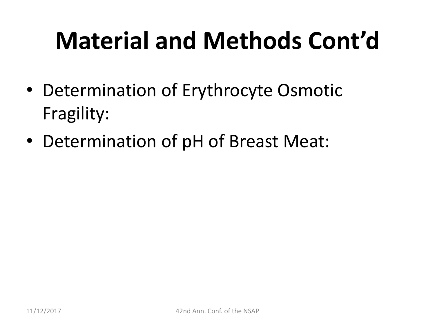# **Material and Methods Cont'd**

- Determination of Erythrocyte Osmotic Fragility:
- Determination of pH of Breast Meat: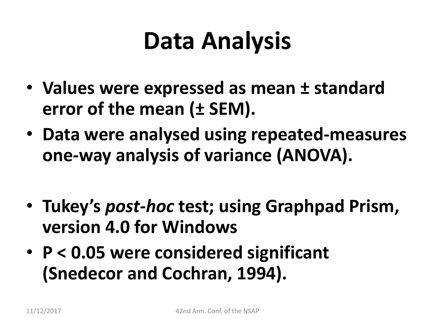## **Data Analysis**

- **Values were expressed as mean ± standard error of the mean (± SEM).**
- **Data were analysed using repeated-measures one-way analysis of variance (ANOVA).**
- **Tukey's** *post-hoc* **test; using Graphpad Prism, version 4.0 for Windows**
- **P < 0.05 were considered significant (Snedecor and Cochran, 1994).**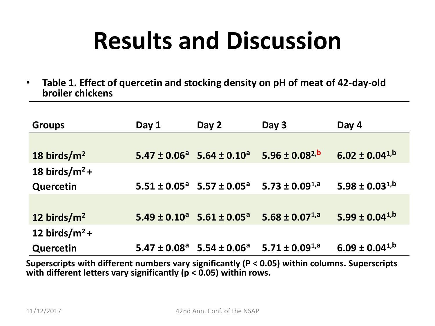### **Results and Discussion**

• **Table 1. Effect of quercetin and stocking density on pH of meat of 42-day-old broiler chickens**

| <b>Groups</b>     | Day 1 | Day 2                                          | Day 3                  | Day 4                  |
|-------------------|-------|------------------------------------------------|------------------------|------------------------|
|                   |       |                                                |                        |                        |
| 18 birds/ $m2$    |       | $5.47 \pm 0.06^a$ 5.64 $\pm$ 0.10 <sup>a</sup> | $5.96 \pm 0.08^{2, b}$ | $6.02 \pm 0.04^{1,b}$  |
| 18 birds/ $m^2$ + |       |                                                |                        |                        |
| Quercetin         |       | $5.51 \pm 0.05^a$ 5.57 ± 0.05 <sup>a</sup>     | 5.73 ± $0.09^{1,a}$    | 5.98 ± $0.03^{1,b}$    |
|                   |       |                                                |                        |                        |
| 12 birds/ $m2$    |       | $5.49 \pm 0.10^a$ 5.61 $\pm$ 0.05 <sup>a</sup> | $5.68 \pm 0.07^{1,a}$  | $5.99 \pm 0.04^{1,b}$  |
| 12 birds/ $m^2$ + |       |                                                |                        |                        |
| <b>Quercetin</b>  |       | $5.47 \pm 0.08^a$ 5.54 $\pm$ 0.06 <sup>a</sup> | $5.71 \pm 0.09^{1,a}$  | $6.09 \pm 0.04^{1, b}$ |

**Superscripts with different numbers vary significantly (P < 0.05) within columns. Superscripts**  with different letters vary significantly ( $p < 0.05$ ) within rows.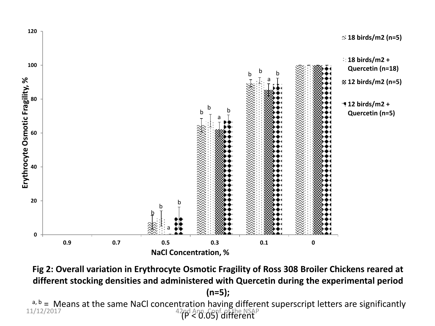

**Fig 2: Overall variation in Erythrocyte Osmotic Fragility of Ross 308 Broiler Chickens reared at different stocking densities and administered with Quercetin during the experimental period (n=5);**

 $a, b = M$ eans at the same NaCl concentration having different superscript letters are significantly 42nd Ann. Conf. of the NSAP<br>(P < 0.05) different 11/12/2017 42nd Ann. Conf. of the NSAP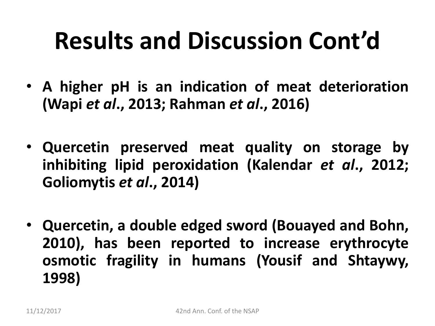### **Results and Discussion Cont'd**

- **A higher pH is an indication of meat deterioration (Wapi** *et al***., 2013; Rahman** *et al***., 2016)**
- **Quercetin preserved meat quality on storage by inhibiting lipid peroxidation (Kalendar** *et al***., 2012; Goliomytis** *et al***., 2014)**
- **Quercetin, a double edged sword (Bouayed and Bohn, 2010), has been reported to increase erythrocyte osmotic fragility in humans (Yousif and Shtaywy, 1998)**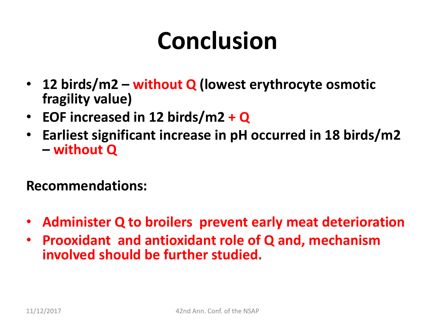## **Conclusion**

- **12 birds/m2 – without Q (lowest erythrocyte osmotic fragility value)**
- **EOF increased in 12 birds/m2 + Q**
- **Earliest significant increase in pH occurred in 18 birds/m2 – without Q**

#### **Recommendations:**

- **Administer Q to broilers prevent early meat deterioration**
- **Prooxidant and antioxidant role of Q and, mechanism involved should be further studied.**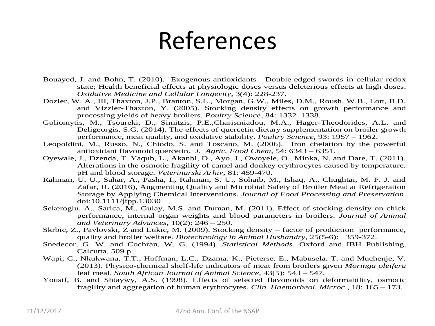#### References

- Bouayed, J. and Bohn, T. (2010). Exogenous antioxidants—Double-edged swords in cellular redox state; Health beneficial effects at physiologic doses versus deleterious effects at high doses. *Oxidative Medicine and Cellular Longevity*, 3(4): 228-237.
- Dozier, W. A., III, Thaxton, J.P., Branton, S.L., Morgan, G.W., Miles, D.M., Roush, W.B., Lott, B.D. and Vizzier-Thaxton, Y. (2005). Stocking density effects on growth performance and processing yields of heavy broilers. *Poultry Science*, 84: 1332–1338.
- Goliomytis, M., Tsoureki, D., Simitzis, P.E.,Charismiadou, M.A., Hager-Theodorides, A.L. and Deligeorgis, S.G. (2014). The effects of quercetin dietary supplementation on broiler growth performance, meat quality, and oxidative stability. *Poultry Science*, 93: 1957 – 1962.
- Leopoldini, M., Russo, N., Chiodo, S. and Toscano, M. (2006). Iron chelation by the powerful antioxidant flavonoid quercetin. *J. Agric. Food Chem*, 54: 6343 – 6351.
- Oyewale, J., Dzenda, T. Yaqub, L., Akanbi, D., Ayo, J., Owoyele, O., Minka, N. and Dare, T. (2011). Alterations in the osmotic fragility of camel and donkey erythrocytes caused by temperature, pH and blood storage. *Veterinarski Arhiv*, 81: 459-470.
- Rahman, U. U., Sahar, A., Pasha, I., Rahman, S. U., Sohaib, M., Ishaq, A., Chughtai, M. F. J. and Zafar, H. (2016), Augmenting Quality and Microbial Safety of Broiler Meat at Refrigeration Storage by Applying Chemical Interventions. *Journal of Food Processing and Preservation*. doi:10.1111/jfpp.13030
- Sekeroglu, A., Sarica, M., Gulay, M.S. and Duman, M. (2011). Effect of stocking density on chick performance, internal organ weights and blood parameters in broilers. *Journal of Animal and Veterinary Advances*, 10(2): 246 – 250.
- Skrbic, Z., Pavlovski, Z and Lukic, M. (2009). Stocking density factor of production performance, quality and broiler welfare. *Biotechnology in Animal Husbandry*, 25(5-6): 359-372.
- Snedecor, G. W. and Cochran, W. G. (1994). *Statistical Methods*. Oxford and IBH Publishing, Calcutta, 509 p.
- Wapi, C., Nkukwana, T.T., Hoffman, L.C., Dzama, K., Pieterse, E., Mabusela, T. and Muchenje, V. (2013). Physico-chemical shelf-life indicators of meat from broilers given *Moringa oleifera*  leaf meal. *South African Journal of Animal Science*, 43(5): 543 – 547.
- Yousif, B. and Shtaywy, A.S. (1998). Effects of selected flavonoids on deformability, osmotic fragility and aggregation of human erythrocytes. *Clin. Haemorheol. Microc.*, 18: 165 – 173.